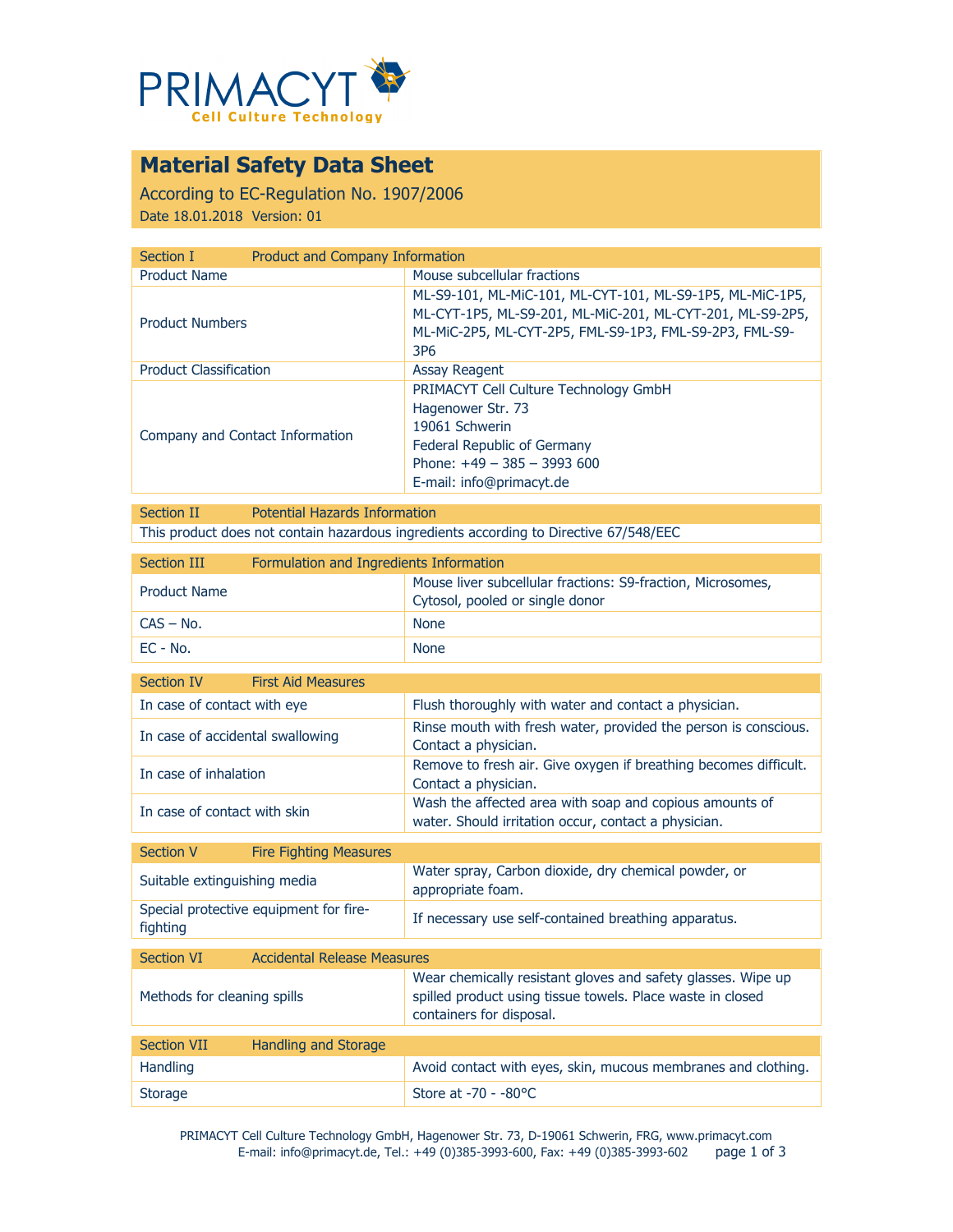

## **Material Safety Data Sheet**

According to EC-Regulation No. 1907/2006 Date 18.01.2018 Version: 01

| Section I                       | <b>Product and Company Information</b> |                                                                                                                                                                                                      |
|---------------------------------|----------------------------------------|------------------------------------------------------------------------------------------------------------------------------------------------------------------------------------------------------|
| <b>Product Name</b>             |                                        | Mouse subcellular fractions                                                                                                                                                                          |
| <b>Product Numbers</b>          |                                        | ML-S9-101, ML-MiC-101, ML-CYT-101, ML-S9-1P5, ML-MiC-1P5,<br>ML-CYT-1P5, ML-S9-201, ML-MiC-201, ML-CYT-201, ML-S9-2P5,<br>ML-MIC-2P5, ML-CYT-2P5, FML-S9-1P3, FML-S9-2P3, FML-S9-<br>3P <sub>6</sub> |
| <b>Product Classification</b>   |                                        | Assay Reagent                                                                                                                                                                                        |
| Company and Contact Information |                                        | <b>PRIMACYT Cell Culture Technology GmbH</b><br>Hagenower Str. 73<br>19061 Schwerin<br>Federal Republic of Germany<br>Phone: $+49 - 385 - 3993600$<br>E-mail: info@primacyt.de                       |

## Section II Potential Hazards Information

This product does not contain hazardous ingredients according to Directive 67/548/EEC

| <b>Section III</b><br>Formulation and Ingredients Information |                                                                                                                                                        |  |  |  |
|---------------------------------------------------------------|--------------------------------------------------------------------------------------------------------------------------------------------------------|--|--|--|
| <b>Product Name</b>                                           | Mouse liver subcellular fractions: S9-fraction, Microsomes,<br>Cytosol, pooled or single donor                                                         |  |  |  |
| $CAS - No.$                                                   | <b>None</b>                                                                                                                                            |  |  |  |
| $EC - No.$                                                    | <b>None</b>                                                                                                                                            |  |  |  |
| <b>Section IV</b><br><b>First Aid Measures</b>                |                                                                                                                                                        |  |  |  |
| In case of contact with eye                                   | Flush thoroughly with water and contact a physician.                                                                                                   |  |  |  |
| In case of accidental swallowing                              | Rinse mouth with fresh water, provided the person is conscious.<br>Contact a physician.                                                                |  |  |  |
| In case of inhalation                                         | Remove to fresh air. Give oxygen if breathing becomes difficult.<br>Contact a physician.                                                               |  |  |  |
| In case of contact with skin                                  | Wash the affected area with soap and copious amounts of<br>water. Should irritation occur, contact a physician.                                        |  |  |  |
| <b>Section V</b><br><b>Fire Fighting Measures</b>             |                                                                                                                                                        |  |  |  |
| Suitable extinguishing media                                  | Water spray, Carbon dioxide, dry chemical powder, or<br>appropriate foam.                                                                              |  |  |  |
| Special protective equipment for fire-<br>fighting            | If necessary use self-contained breathing apparatus.                                                                                                   |  |  |  |
| <b>Accidental Release Measures</b><br><b>Section VI</b>       |                                                                                                                                                        |  |  |  |
| Methods for cleaning spills                                   | Wear chemically resistant gloves and safety glasses. Wipe up<br>spilled product using tissue towels. Place waste in closed<br>containers for disposal. |  |  |  |
| <b>Section VII</b><br><b>Handling and Storage</b>             |                                                                                                                                                        |  |  |  |
| Handling                                                      | Avoid contact with eyes, skin, mucous membranes and clothing.                                                                                          |  |  |  |
| <b>Storage</b>                                                | Store at -70 - -80°C                                                                                                                                   |  |  |  |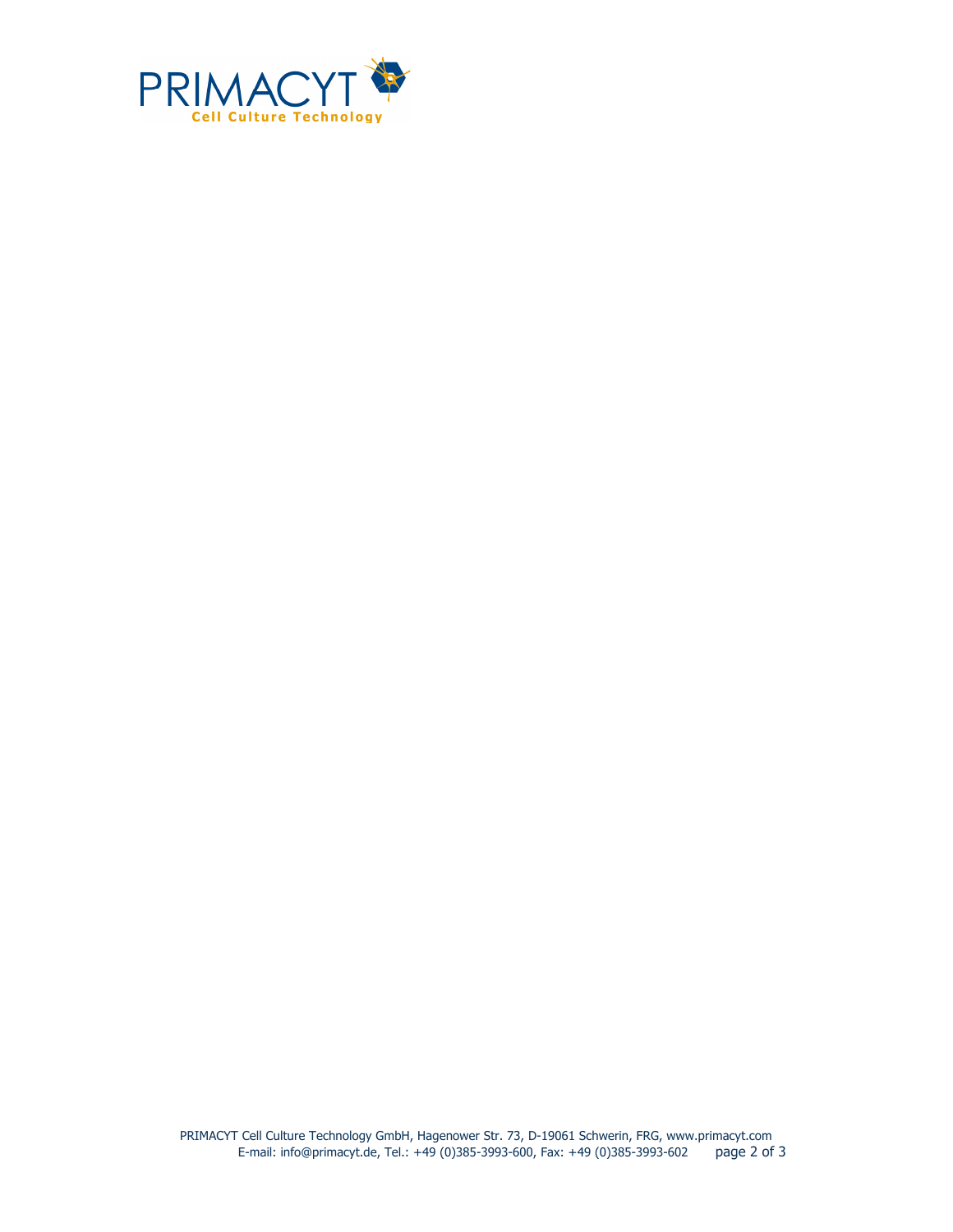